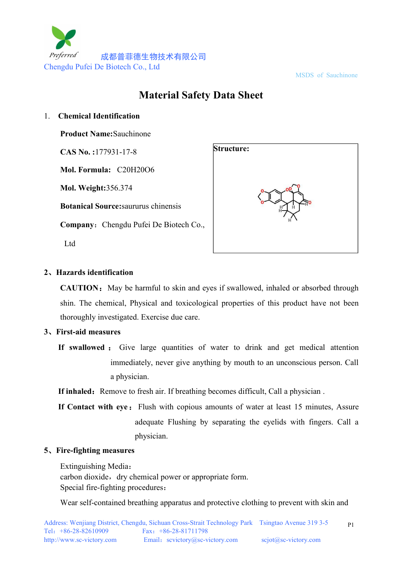

MSDS of Sauchinone

# **Material Safety Data Sheet**

#### 1. **Chemical Identification**

**Product Name:**Sauchinone

**CAS No. :**177931-17-8

**Mol. Formula:** C20H20O6

**Mol. Weight:**356.374

**Botanical Source:**saururus chinensis

**Company:** Chengdu Pufei De Biotech Co.,

Ltd



## **2**、**Hazards identification**

**CAUTION:** May be harmful to skin and eyes if swallowed, inhaled or absorbed through shin. The chemical, Physical and toxicological properties of this product have not been thoroughly investigated. Exercise due care.

## **3**、**First-aid measures**

**If inhaled:** Remove to fresh air. If breathing becomes difficult, Call a physician .

**If Contact with eye:** Flush with copious amounts of water at least 15 minutes, Assure adequate Flushing by separating the eyelids with fingers. Call a physician.

## **5**、**Fire-fighting measures**

Extinguishing Media: carbon dioxide, dry chemical power or appropriate form. Special fire-fighting procedures:

Wear self-contained breathing apparatus and protective clothing to prevent with skin and

**If swallowed** : Give large quantities of water to drink and get medical attention immediately, never give anything by mouth to an unconscious person. Call a physician.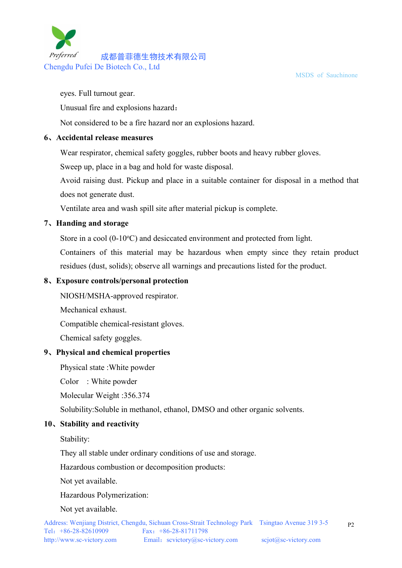

MSDS of Sauchinone

eyes. Full turnout gear.

Unusual fire and explosions hazard:

Not considered to be a fire hazard nor an explosions hazard.

#### **6**、**Accidental release measures**

Wear respirator, chemical safety goggles, rubber boots and heavy rubber gloves.

Sweep up, place in a bag and hold for waste disposal.

Avoid raising dust. Pickup and place in a suitable container for disposal in a method that does not generate dust.

Ventilate area and wash spill site after material pickup is complete.

## **7**、**Handing and storage**

Store in a cool  $(0-10\text{°C})$  and desiccated environment and protected from light.

Containers of this material may be hazardous when empty since they retain product residues (dust, solids); observe all warnings and precautions listed for the product.

#### **8**、**Exposure controls/personal protection**

NIOSH/MSHA-approved respirator.

Mechanical exhaust.

Compatible chemical-resistant gloves.

Chemical safety goggles.

## **9**、**Physical and chemical properties**

Physical state :White powder

Color : White powder

Molecular Weight :356.374

Solubility:Soluble in methanol, ethanol, DMSO and other organic solvents.

## **10**、**Stability and reactivity**

Stability:

They all stable under ordinary conditions of use and storage.

Hazardous combustion or decomposition products:

Not yet available.

Hazardous Polymerization:

Not yet available.